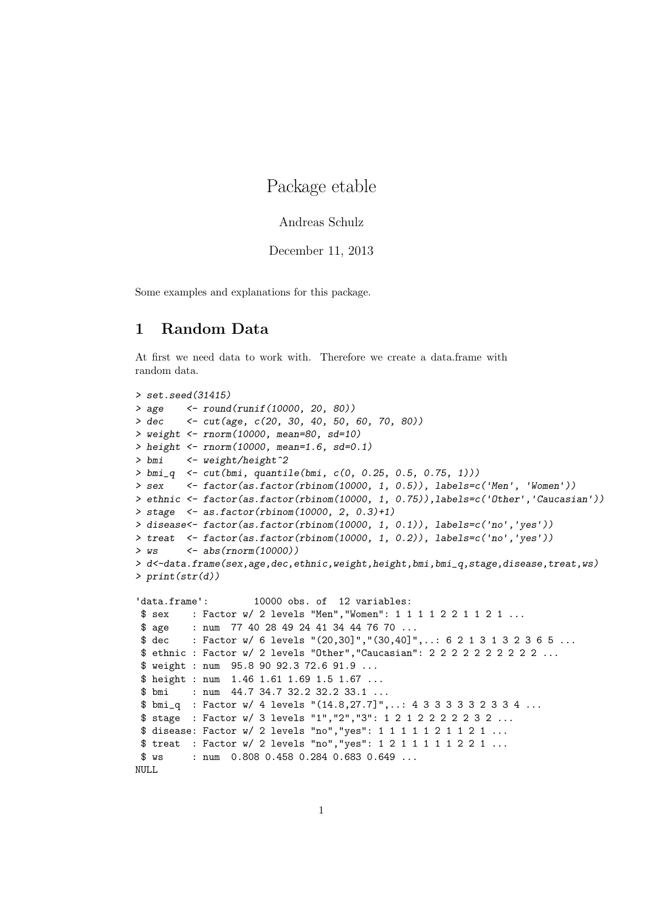# Package etable

#### Andreas Schulz

December 11, 2013

Some examples and explanations for this package.

# 1 Random Data

At first we need data to work with. Therefore we create a data.frame with random data.

```
> set.seed(31415)
> age <- round(runif(10000, 20, 80))
> dec <- cut(age, c(20, 30, 40, 50, 60, 70, 80))
> weight <- rnorm(10000, mean=80, sd=10)
> height <- rnorm(10000, mean=1.6, sd=0.1)> bmi <- weight/height^2
> bmi_q <- cut(bmi, quantile(bmi, c(0, 0.25, 0.5, 0.75, 1)))
> sex <- factor(as.factor(rbinom(10000, 1, 0.5)), labels=c('Men', 'Women'))
> ethnic <- factor(as.factor(rbinom(10000, 1, 0.75)),labels=c('Other','Caucasian'))
> stage <- as.factor(rbinom(10000, 2, 0.3)+1)
> disease<- factor(as.factor(rbinom(10000, 1, 0.1)), labels=c('no','yes'))
> treat <- factor(as.factor(rbinom(10000, 1, 0.2)), labels=c('no','yes'))
> ws \leq abs(rnorm(10000))
> d<-data.frame(sex,age,dec,ethnic,weight,height,bmi,bmi_q,stage,disease,treat,ws)
> print(str(d))
'data.frame': 10000 obs. of 12 variables:
$ sex : Factor w/ 2 levels "Men","Women": 1 1 1 1 2 2 1 1 2 1 ...
$ age : num 77 40 28 49 24 41 34 44 76 70 ...
$ dec : Factor w/ 6 levels "(20,30]", "(30,40]",..: 6 2 1 3 1 3 2 3 6 5 ...
$ ethnic : Factor w/ 2 levels "Other","Caucasian": 2 2 2 2 2 2 2 2 2 2 ...
$ weight : num 95.8 90 92.3 72.6 91.9 ...
$ height : num 1.46 1.61 1.69 1.5 1.67 ...
$ bmi : num 44.7 34.7 32.2 32.2 33.1 ...
$ bmi_q : Factor w/ 4 levels "(14.8,27.7]",..: 4 3 3 3 3 3 2 3 3 4 ...
$ stage : Factor w/ 3 levels "1","2","3": 1 2 1 2 2 2 2 2 3 2 ...
$ disease: Factor w/ 2 levels "no", "yes": 1 1 1 1 1 2 1 1 2 1 ...
$ treat : Factor w/ 2 levels "no", "yes": 1 2 1 1 1 1 1 2 2 1 ...
$ ws : num  0.808 0.458 0.284 0.683 0.649 ...
```
NULL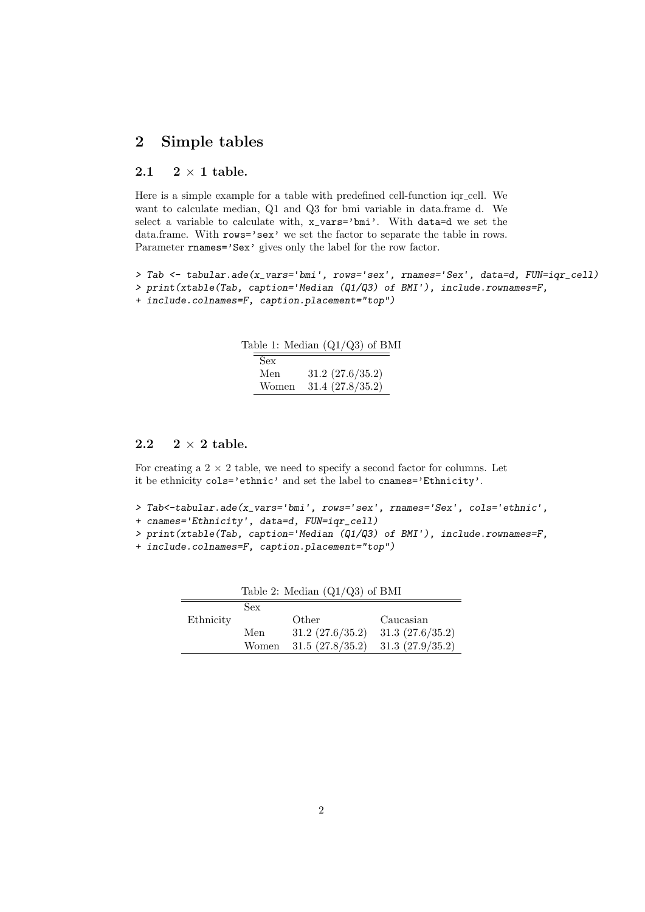# 2 Simple tables

#### 2.1  $2 \times 1$  table.

Here is a simple example for a table with predefined cell-function igr\_cell. We want to calculate median, Q1 and Q3 for bmi variable in data.frame d. We select a variable to calculate with, x  $vars='bmi'$ . With data=d we set the data.frame. With rows='sex' we set the factor to separate the table in rows. Parameter rnames='Sex' gives only the label for the row factor.

```
> Tab <- tabular.ade(x_vars='bmi', rows='sex', rnames='Sex', data=d, FUN=iqr_cell)
> print(xtable(Tab, caption='Median (Q1/Q3) of BMI'), include.rownames=F,
+ include.colnames=F, caption.placement="top")
```

|            | Table 1: Median $(Q1/Q3)$ of BMI |
|------------|----------------------------------|
| <b>Sex</b> |                                  |
| Men        | 31.2 (27.6/35.2)                 |
| Women      | 31.4 (27.8/35.2)                 |

## 2.2  $2 \times 2$  table.

For creating a  $2 \times 2$  table, we need to specify a second factor for columns. Let it be ethnicity cols='ethnic' and set the label to cnames='Ethnicity'.

- > Tab<-tabular.ade(x\_vars='bmi', rows='sex', rnames='Sex', cols='ethnic',
- + cnames='Ethnicity', data=d, FUN=iqr\_cell)
- > print(xtable(Tab, caption='Median (Q1/Q3) of BMI'), include.rownames=F,
- + include.colnames=F, caption.placement="top")

| Table 2: Median $(Q1/Q3)$ of BMI |       |                  |                 |
|----------------------------------|-------|------------------|-----------------|
|                                  | Sex   |                  |                 |
| Ethnicity                        |       | Other            | Caucasian       |
|                                  | Men   | 31.2 (27.6/35.2) | 31.3(27.6/35.2) |
|                                  | Women | 31.5(27.8/35.2)  | 31.3(27.9/35.2) |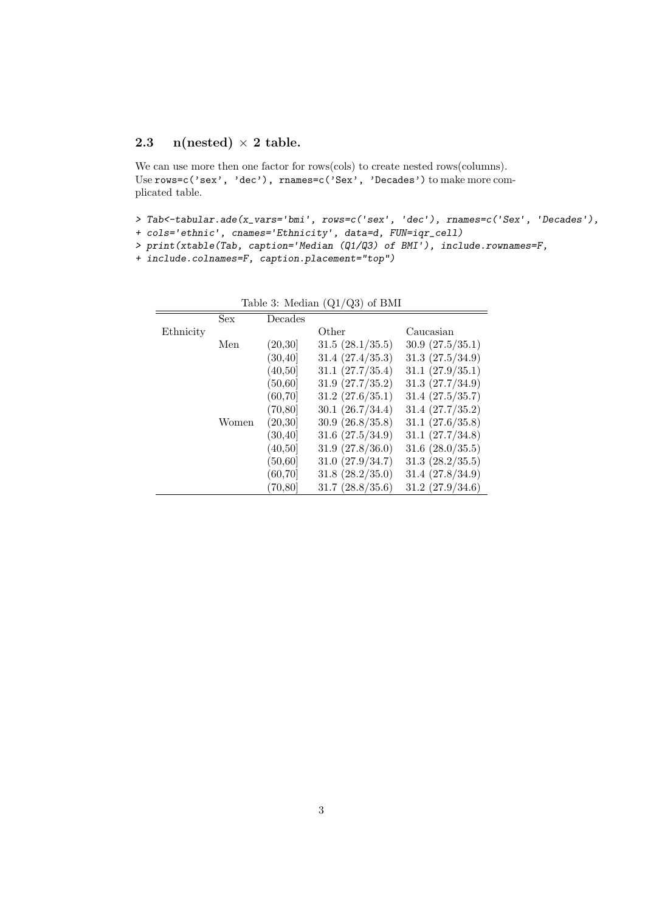## 2.3 n(nested)  $\times$  2 table.

We can use more then one factor for rows(cols) to create nested rows(columns). Use rows=c('sex', 'dec'), rnames=c('Sex', 'Decades') to make more complicated table.

- > Tab<-tabular.ade(x\_vars='bmi', rows=c('sex', 'dec'), rnames=c('Sex', 'Decades'),
- + cols='ethnic', cnames='Ethnicity', data=d, FUN=iqr\_cell)
- > print(xtable(Tab, caption='Median (Q1/Q3) of BMI'), include.rownames=F,
- + include.colnames=F, caption.placement="top")

|           | Sex   | Decades                |                       |                  |
|-----------|-------|------------------------|-----------------------|------------------|
| Ethnicity |       |                        | Other                 | Caucasian        |
|           | Men   | (20, 30)               | 31.5(28.1/35.5)       | 30.9(27.5/35.1)  |
|           |       | $\left(30,40\right]$   | 31.4 (27.4/35.3)      | 31.3(27.5/34.9)  |
|           |       | (40, 50)               | 31.1 (27.7/35.4)      | 31.1 (27.9/35.1) |
|           |       | (50, 60]               | 31.9(27.7/35.2)       | 31.3(27.7/34.9)  |
|           |       | (60, 70)               | 31.2 (27.6/35.1)      | 31.4 (27.5/35.7) |
|           |       | $\left(70,80\right]$   | 30.1 (26.7/34.4)      | 31.4 (27.7/35.2) |
|           | Women | (20,30)                | 30.9 (26.8/35.8)      | 31.1 (27.6/35.8) |
|           |       | $\left(30.40\right]$   | 31.6 (27.5/34.9)      | 31.1 (27.7/34.8) |
|           |       | (40, 50]               | 31.9(27.8/36.0)       | 31.6 (28.0/35.5) |
|           |       | $\left(50,\!60\right]$ | 31.0 (27.9/34.7)      | 31.3 (28.2/35.5) |
|           |       | (60.70)                | 31.8(28.2/35.0)       | 31.4 (27.8/34.9) |
|           |       | $\left(70,80\right]$   | $31.7 \; (28.8/35.6)$ | 31.2 (27.9/34.6) |

Table 3: Median (Q1/Q3) of BMI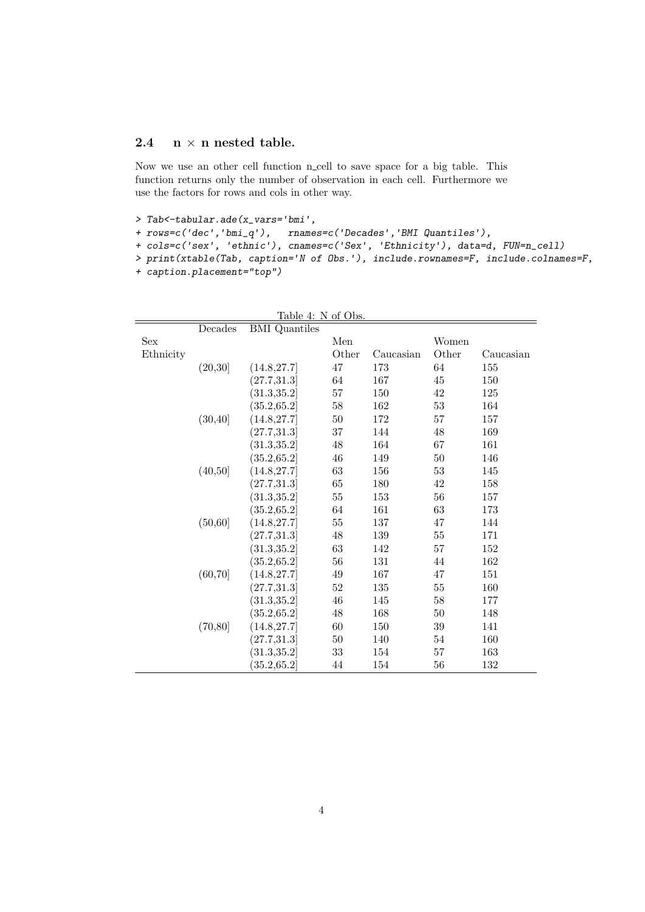## 2.4  $n \times n$  nested table.

Now we use an other cell function n\_cell to save space for a big table. This function returns only the number of observation in each cell. Furthermore we use the factors for rows and cols in other way.

```
> Tab<-tabular.ade(x_vars='bmi',
```

```
+ rows=c('dec','bmi_q'), rnames=c('Decades','BMI Quantiles'),
```

```
+ cols=c('sex', 'ethnic'), cnames=c('Sex', 'Ethnicity'), data=d, FUN=n_cell)
```
> print(xtable(Tab, caption='N of Obs.'), include.rownames=F, include.colnames=F,

```
+ caption.placement="top")
```

|           |          | Table 4: N of Obs.                    |          |           |        |           |
|-----------|----------|---------------------------------------|----------|-----------|--------|-----------|
|           | Decades  | <b>BMI</b> Quantiles                  |          |           |        |           |
| Sex       |          |                                       | Men      |           | Women  |           |
| Ethnicity |          |                                       | Other    | Caucasian | Other  | Caucasian |
|           | (20, 30) | (14.8, 27.7)                          | 47       | 173       | 64     | 155       |
|           |          | (27.7, 31.3)                          | 64       | 167       | 45     | 150       |
|           |          | $\left\langle 31.3,35.2\right\rangle$ | $57\,$   | 150       | 42     | 125       |
|           |          | (35.2, 65.2)                          | $58\,$   | 162       | $53\,$ | 164       |
|           | (30, 40] | (14.8, 27.7)                          | $50\,$   | 172       | 57     | 157       |
|           |          | (27.7, 31.3)                          | 37       | 144       | 48     | 169       |
|           |          | (31.3, 35.2)                          | $48\,$   | 164       | 67     | 161       |
|           |          | (35.2, 65.2)                          | 46       | 149       | 50     | 146       |
|           | (40,50]  | (14.8, 27.7)                          | $63\,$   | 156       | 53     | 145       |
|           |          | (27.7, 31.3)                          | 65       | 180       | 42     | 158       |
|           |          | $\left[31.3,35.2\right]$              | $55\,$   | 153       | 56     | 157       |
|           |          | (35.2, 65.2)                          | $64\,$   | 161       | 63     | 173       |
|           | (50, 60] | (14.8, 27.7)                          | 55       | 137       | 47     | 144       |
|           |          | (27.7, 31.3)                          | $48\,$   | 139       | 55     | 171       |
|           |          | (31.3, 35.2)                          | $63\,$   | 142       | 57     | 152       |
|           |          | (35.2, 65.2)                          | 56       | 131       | 44     | 162       |
|           | (60, 70) | (14.8, 27.7)                          | $\rm 49$ | 167       | 47     | 151       |
|           |          | (27.7, 31.3)                          | $52\,$   | 135       | $55\,$ | 160       |
|           |          | (31.3, 35.2)                          | 46       | 145       | 58     | 177       |
|           |          | (35.2, 65.2)                          | $48\,$   | 168       | 50     | 148       |
|           | (70, 80) | (14.8, 27.7)                          | 60       | 150       | 39     | 141       |
|           |          | (27.7, 31.3)                          | 50       | 140       | 54     | 160       |
|           |          | (31.3, 35.2)                          | 33       | 154       | 57     | 163       |
|           |          | $\left( 35.2,\!65.2 \right]$          | 44       | 154       | 56     | 132       |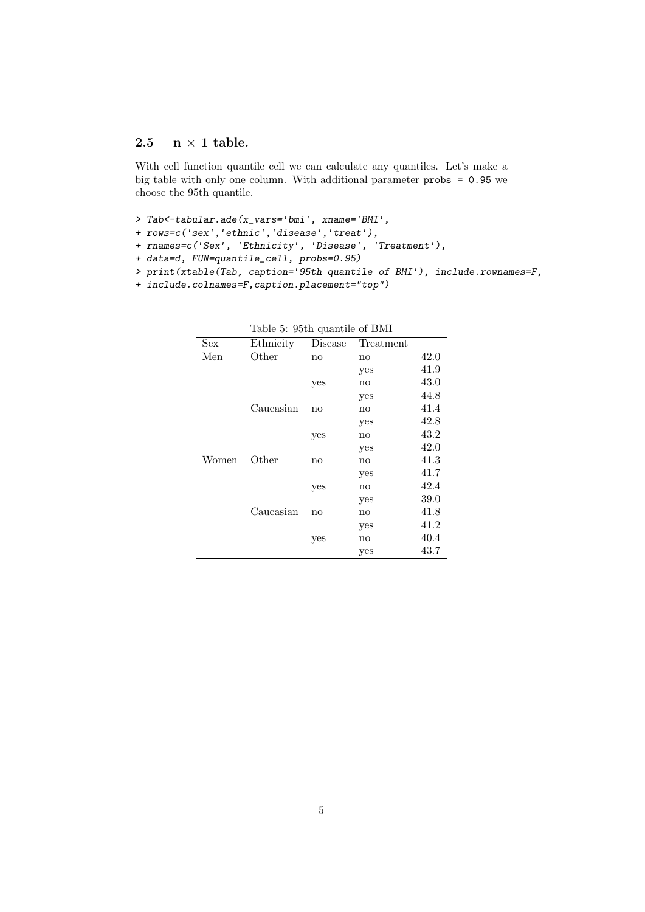## 2.5  $n \times 1$  table.

With cell function quantile\_cell we can calculate any quantiles. Let's make a big table with only one column. With additional parameter probs = 0.95 we choose the 95th quantile.

- > Tab<-tabular.ade(x\_vars='bmi', xname='BMI',
- + rows=c('sex','ethnic','disease','treat'),
- + rnames=c('Sex', 'Ethnicity', 'Disease', 'Treatment'),
- + data=d, FUN=quantile\_cell, probs=0.95)
- > print(xtable(Tab, caption='95th quantile of BMI'), include.rownames=F,
- + include.colnames=F,caption.placement="top")

|       | rabic 9. Jour quantific or DMI |         |               |      |
|-------|--------------------------------|---------|---------------|------|
| Sex   | Ethnicity                      | Disease | Treatment     |      |
| Men   | Other                          | no      | no            | 42.0 |
|       |                                |         | yes           | 41.9 |
|       |                                | yes     | no            | 43.0 |
|       |                                |         | yes           | 44.8 |
|       | Caucasian                      | no      | no            | 41.4 |
|       |                                |         | yes           | 42.8 |
|       |                                | yes     | no            | 43.2 |
|       |                                |         | yes           | 42.0 |
| Women | Other                          | no      | $\mathbf{no}$ | 41.3 |
|       |                                |         | yes           | 41.7 |
|       |                                | yes     | no            | 42.4 |
|       |                                |         | yes           | 39.0 |
|       | Caucasian                      | no      | no            | 41.8 |
|       |                                |         | yes           | 41.2 |
|       |                                | yes     | no            | 40.4 |
|       |                                |         | yes           | 43.7 |
|       |                                |         |               |      |

Table 5: 95th quantile of BMI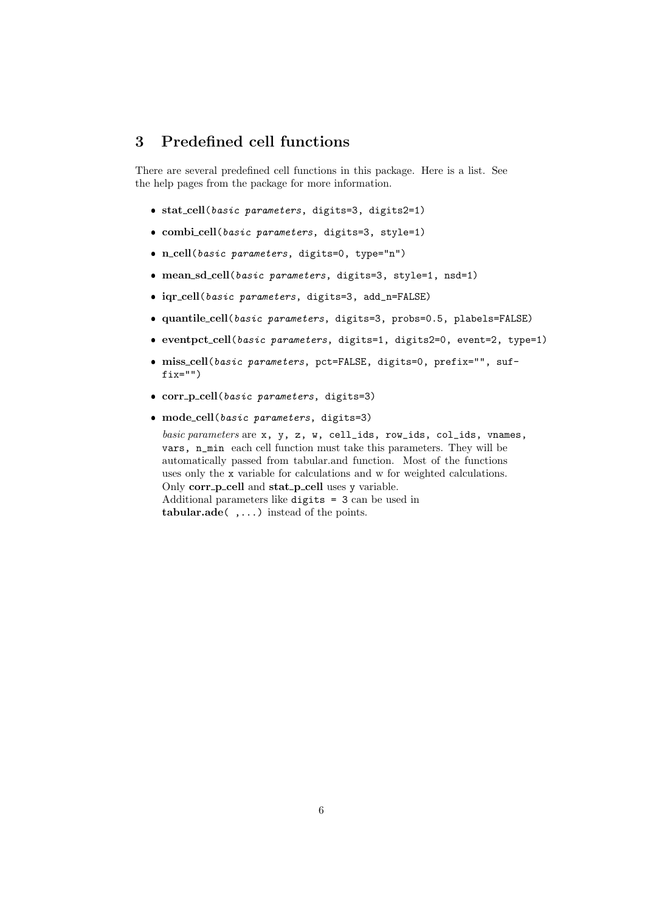## 3 Predefined cell functions

There are several predefined cell functions in this package. Here is a list. See the help pages from the package for more information.

- stat cell(basic parameters, digits=3, digits2=1)
- combi cell(basic parameters, digits=3, style=1)
- n cell(basic parameters, digits=0, type="n")
- mean sd cell(basic parameters, digits=3, style=1, nsd=1)
- iqr cell(basic parameters, digits=3, add\_n=FALSE)
- quantile cell(basic parameters, digits=3, probs=0.5, plabels=FALSE)
- eventpct cell(basic parameters, digits=1, digits2=0, event=2, type=1)
- miss cell(basic parameters, pct=FALSE, digits=0, prefix="", suf $fix="")$
- o corr\_p\_cell(basic parameters, digits=3)
- mode cell(basic parameters, digits=3)

basic parameters are x, y, z, w, cell\_ids, row\_ids, col\_ids, vnames, vars, n\_min each cell function must take this parameters. They will be automatically passed from tabular.and function. Most of the functions uses only the x variable for calculations and w for weighted calculations. Only corr\_p\_cell and stat\_p\_cell uses y variable. Additional parameters like digits = 3 can be used in tabular.ade( ,...) instead of the points.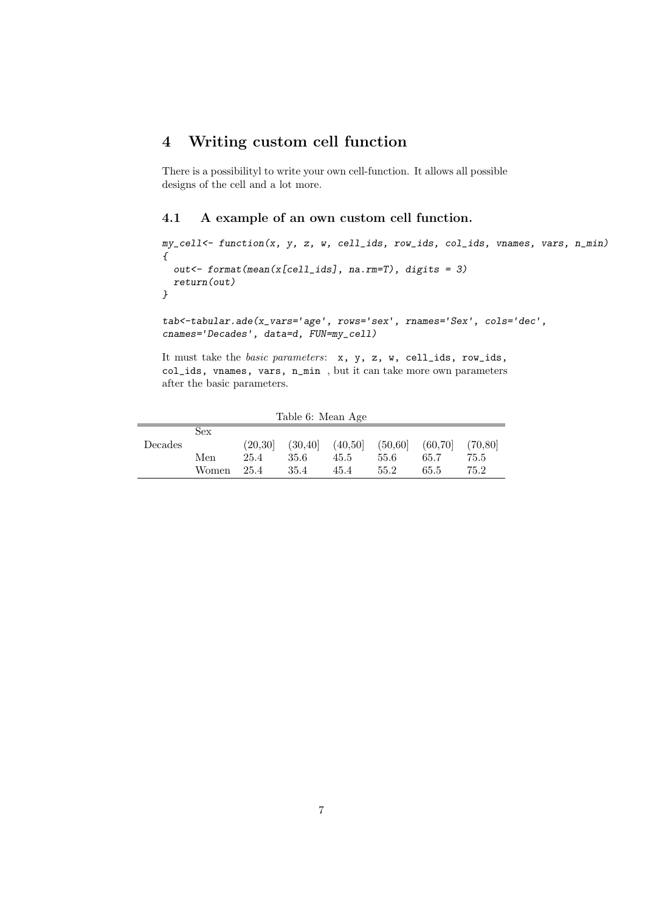# 4 Writing custom cell function

There is a possibilityl to write your own cell-function. It allows all possible designs of the cell and a lot more.

#### 4.1 A example of an own custom cell function.

```
my_cell<- function(x, y, z, w, cell_ids, row_ids, col_ids, vnames, vars, n_min)
\sqrt{ }out<- format(mean(x[cell_ids], na.rm=T), digits = 3)
 return(out)
}
```
tab<-tabular.ade(x\_vars='age', rows='sex', rnames='Sex', cols='dec', cnames='Decades', data=d, FUN=my\_cell)

It must take the basic parameters: x, y, z, w, cell\_ids, row\_ids, col\_ids, vnames, vars, n\_min , but it can take more own parameters after the basic parameters.

| rapie of Mean Age |       |          |          |         |          |          |          |
|-------------------|-------|----------|----------|---------|----------|----------|----------|
|                   | Sex   |          |          |         |          |          |          |
| Decades           |       | (20, 30) | (30, 40] | (40,50) | (50, 60] | (60, 70) | (70, 80) |
|                   | Men   | 25.4     | 35.6     | 45.5    | 55.6     | 65.7     | 75.5     |
|                   | Women | 25.4     | 35.4     | 45.4    | 55.2     | 65.5     | 75.2     |

 $Table 6: Mon A$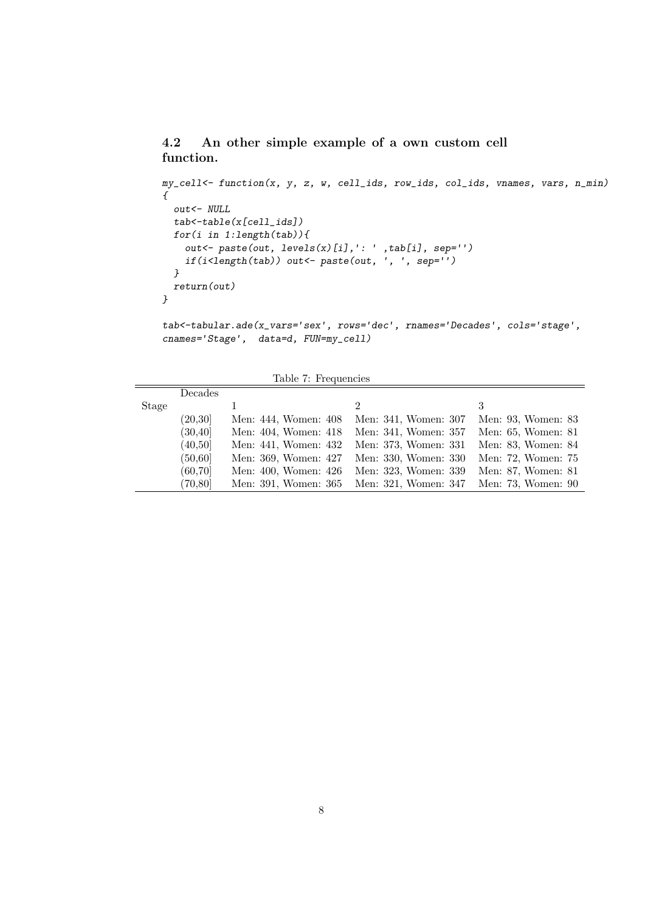## 4.2 An other simple example of a own custom cell function.

```
my_cell<- function(x, y, z, w, cell_ids, row_ids, col_ids, vnames, vars, n_min)
{
 out<- NULL
 tab<-table(x[cell_ids])
 for(i in 1:length(tab)){
    out<- paste(out, levels(x)[i],': ' ,tab[i], sep='')
    if(i<length(tab)) out<- paste(out, ', ', sep='')
  }
 return(out)
}
```
tab<-tabular.ade(x\_vars='sex', rows='dec', rnames='Decades', cols='stage', cnames='Stage', data=d, FUN=my\_cell)

|  |  | Table 7: Frequencies |  |
|--|--|----------------------|--|
|--|--|----------------------|--|

|       | Decades  |                      |                             |                    |
|-------|----------|----------------------|-----------------------------|--------------------|
| Stage |          |                      | $\mathcal{D}_{\mathcal{L}}$ | 3                  |
|       | (20, 30] | Men: 444, Women: 408 | Men: 341, Women: 307        | Men: 93, Women: 83 |
|       | (30, 40] | Men: 404, Women: 418 | Men: 341, Women: 357        | Men: 65, Women: 81 |
|       | (40, 50] | Men: 441, Women: 432 | Men: 373, Women: 331        | Men: 83, Women: 84 |
|       | (50, 60] | Men: 369, Women: 427 | Men: 330, Women: 330        | Men: 72, Women: 75 |
|       | (60, 70) | Men: 400, Women: 426 | Men: 323, Women: 339        | Men: 87, Women: 81 |
|       | (70, 80) | Men: 391, Women: 365 | Men: 321, Women: 347        | Men: 73, Women: 90 |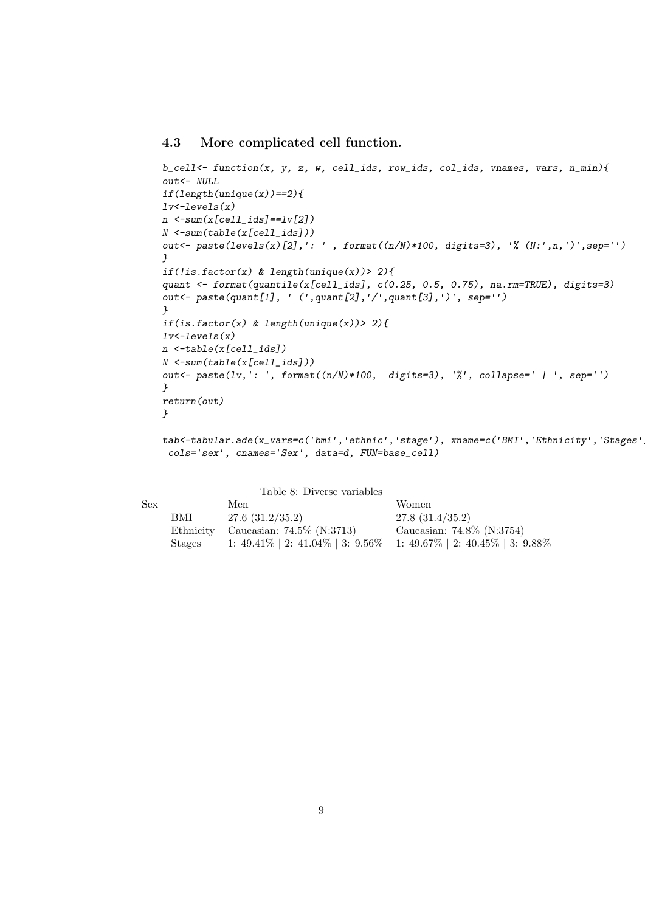#### 4.3 More complicated cell function.

```
b<sub>cell</sub> < function(x, y, z, w, cell_ids, row_ids, col_ids, vnames, vars, n_min){
out<- NULL
if(length(unique(x)) == 2){lv -levels(x)n < -sum(x[cell\_ids] == lw[2])N <-sum(table(x[cell_ids]))
out<- paste(levels(x)[2],': ' , format((n/N)*100, digits=3), '% (N:',n,')',sep='')
}
if (!is.factor(x) \& length(unique(x)) > 2){
quant <- format(quantile(x[cell_ids], c(0.25, 0.5, 0.75), na.rm=TRUE), digits=3)
out<- paste(quant[1], ' (',quant[2],'/',quant[3],')', sep='')
}
if(is.factor(x) & length(unique(x)) > 2){
lv -levels(x)n <-table(x[cell_ids])
N <-sum(table(x[cell_ids]))
out <- paste(lv,': ', format((n/N)*100, digits=3), '%', collapse=' | ', sep='')
}
return(out)
}
```
tab<-tabular.ade(x\_vars=c('bmi','ethnic','stage'), xname=c('BMI','Ethnicity','Stages' cols='sex', cnames='Sex', data=d, FUN=base\_cell)

|            |           | Table 8: Diverse variables   |                                                                                     |
|------------|-----------|------------------------------|-------------------------------------------------------------------------------------|
| <b>Sex</b> |           | Men                          | Women                                                                               |
|            | BMI       | 27.6(31.2/35.2)              | 27.8(31.4/35.2)                                                                     |
|            | Ethnicity | Caucasian: $74.5\%$ (N:3713) | Caucasian: 74.8% (N:3754)                                                           |
|            | Stages    |                              | 1: $49.41\%$   2: $41.04\%$   3: $9.56\%$ 1: $49.67\%$   2: $40.45\%$   3: $9.88\%$ |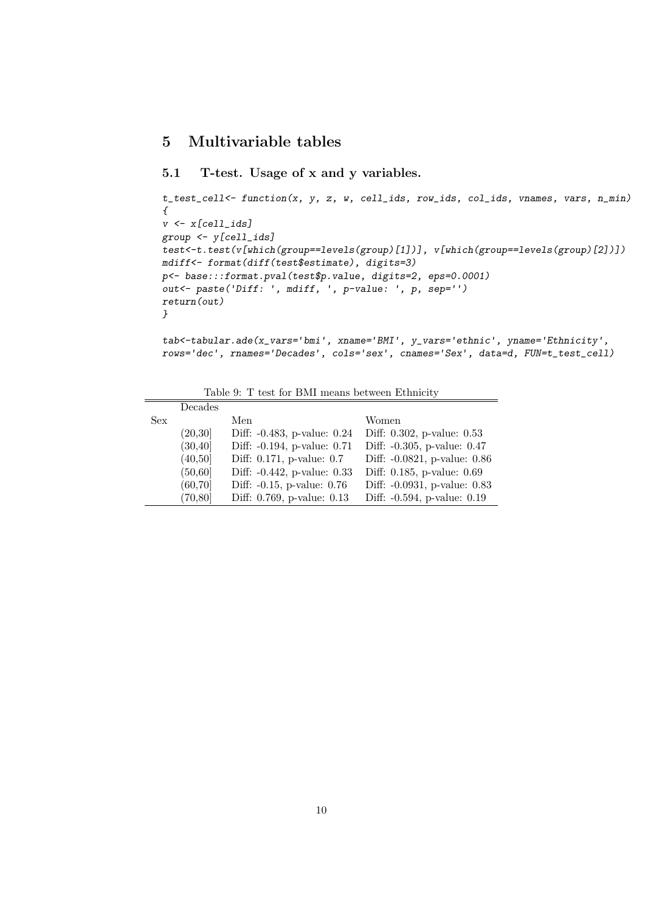## 5 Multivariable tables

## 5.1 T-test. Usage of x and y variables.

```
t_test_cell<- function(x, y, z, w, cell_ids, row_ids, col_ids, vnames, vars, n_min)
\{v \leftarrow x[cell\_ids]group <- y[cell_ids]
test<-t.test(v[which(group==levels(group)[1])], v[which(group==levels(group)[2])])
mdiff<- format(diff(test$estimate), digits=3)
p<- base:::format.pval(test$p.value, digits=2, eps=0.0001)
out<- paste('Diff: ', mdiff, ', p-value: ', p, sep='')
return(out)
}
```

```
tab<-tabular.ade(x_vars='bmi', xname='BMI', y_vars='ethnic', yname='Ethnicity',
rows='dec', rnames='Decades', cols='sex', cnames='Sex', data=d, FUN=t_test_cell)
```

| Table 9: T test for BMI means between Ethnicity |  |
|-------------------------------------------------|--|
|-------------------------------------------------|--|

|     | Decades  |                                 |                              |
|-----|----------|---------------------------------|------------------------------|
| Sex |          | Men                             | Women                        |
|     | (20,30]  | Diff: -0.483, p-value: 0.24     | Diff: 0.302, p-value: 0.53   |
|     | (30, 40] | Diff: -0.194, p-value: 0.71     | Diff: -0.305, p-value: 0.47  |
|     | (40,50]  | Diff: 0.171, p-value: 0.7       | Diff: -0.0821, p-value: 0.86 |
|     | (50, 60] | Diff: -0.442, p-value: 0.33     | Diff: 0.185, p-value: 0.69   |
|     | (60, 70) | Diff: $-0.15$ , p-value: $0.76$ | Diff: -0.0931, p-value: 0.83 |
|     | (70, 80) | Diff: 0.769, p-value: 0.13      | Diff: -0.594, p-value: 0.19  |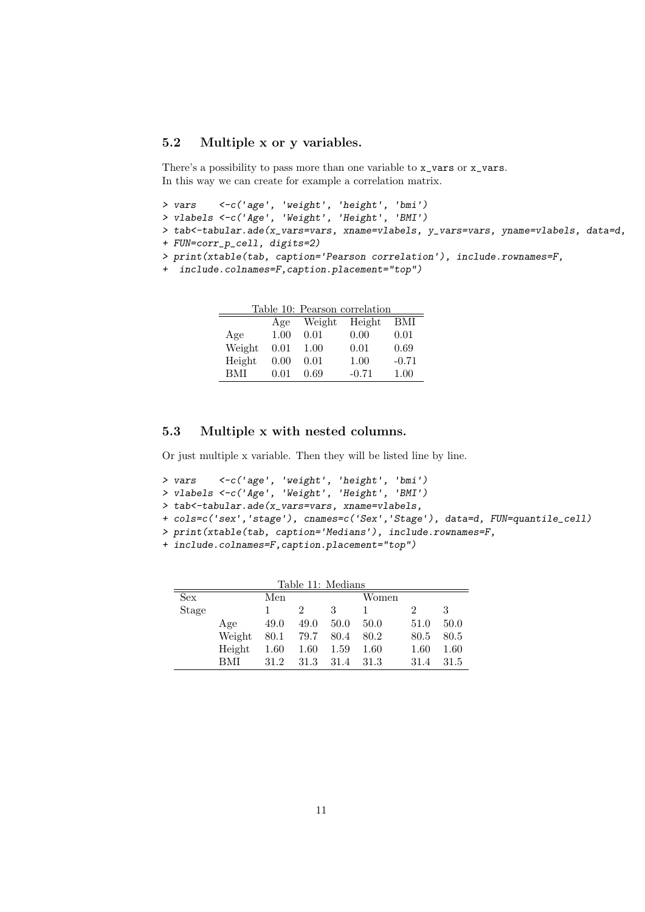#### 5.2 Multiple x or y variables.

There's a possibility to pass more than one variable to x\_vars or x\_vars. In this way we can create for example a correlation matrix.

```
> vars <-c('age', 'weight', 'height', 'bmi')
```
> vlabels <-c('Age', 'Weight', 'Height', 'BMI')

> tab<-tabular.ade(x\_vars=vars, xname=vlabels, y\_vars=vars, yname=vlabels, data=d,

```
+ FUN=corr_p_cell, digits=2)
```
> print(xtable(tab, caption='Pearson correlation'), include.rownames=F,

```
+ include.colnames=F,caption.placement="top")
```

| Table 10: Pearson correlation |      |        |         |         |  |
|-------------------------------|------|--------|---------|---------|--|
|                               | Age  | Weight | Height  | BMI     |  |
| Age                           | 1.00 | 0.01   | 0.00    | 0.01    |  |
| Weight                        | 0.01 | 1.00   | 0.01    | 0.69    |  |
| Height                        | 0.00 | 0.01   | 1.00    | $-0.71$ |  |
| BMI                           | 0.01 | 0.69   | $-0.71$ | 1.00    |  |

#### 5.3 Multiple x with nested columns.

Or just multiple x variable. Then they will be listed line by line.

```
> vars <-c('age', 'weight', 'height', 'bmi')
```

```
> vlabels <-c('Age', 'Weight', 'Height', 'BMI')
```

```
> tab<-tabular.ade(x_vars=vars, xname=vlabels,
```

```
+ cols=c('sex','stage'), cnames=c('Sex','Stage'), data=d, FUN=quantile_cell)
```

```
> print(xtable(tab, caption='Medians'), include.rownames=F,
```
+ include.colnames=F,caption.placement="top")

| Table 11: Medians |            |      |               |       |       |      |      |  |
|-------------------|------------|------|---------------|-------|-------|------|------|--|
| <b>Sex</b>        |            | Men  |               |       | Women |      |      |  |
| <b>Stage</b>      |            |      | $\mathcal{D}$ | 3     | 1     |      | 3    |  |
|                   | Age        | 49.0 | 49.0          | 50.0  | 50.0  | 51.0 | 50.0 |  |
|                   | Weight     | 80.1 | 79.7          | -80.4 | 80.2  | 80.5 | 80.5 |  |
|                   | Height     | 1.60 | 1.60          | 1.59  | 1.60  | 1.60 | 1.60 |  |
|                   | <b>BMI</b> | 31.2 | 31.3          | 31.4  | 31.3  | 31.4 | 31.5 |  |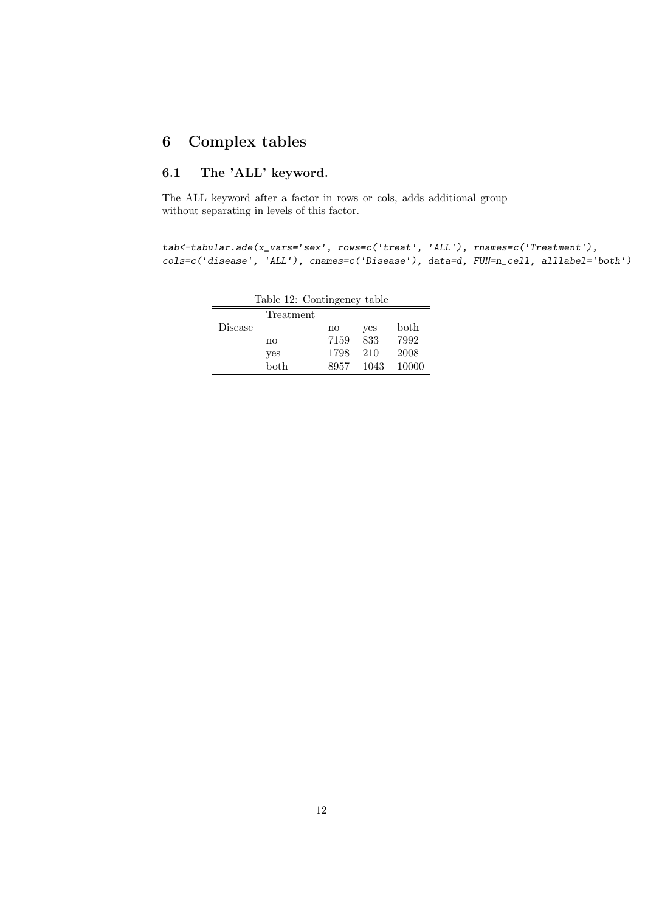# 6 Complex tables

## 6.1 The 'ALL' keyword.

The ALL keyword after a factor in rows or cols, adds additional group without separating in levels of this factor.

tab<-tabular.ade(x\_vars='sex', rows=c('treat', 'ALL'), rnames=c('Treatment'), cols=c('disease', 'ALL'), cnames=c('Disease'), data=d, FUN=n\_cell, alllabel='both')

| $\text{r}$ and $\text{r}$ $\text{r}$ $\text{r}$ $\text{r}$ $\text{r}$ $\text{r}$ $\text{r}$ $\text{r}$ $\text{r}$ $\text{r}$ $\text{r}$ $\text{r}$ $\text{r}$ $\text{r}$ $\text{r}$ $\text{r}$ $\text{r}$ $\text{r}$ $\text{r}$ $\text{r}$ $\text{r}$ $\text{r}$ $\text{r}$ $\text{r}$ $\text{r}$ $\text{r}$ |           |      |      |               |  |  |  |  |
|--------------------------------------------------------------------------------------------------------------------------------------------------------------------------------------------------------------------------------------------------------------------------------------------------------------|-----------|------|------|---------------|--|--|--|--|
|                                                                                                                                                                                                                                                                                                              | Treatment |      |      |               |  |  |  |  |
| Disease                                                                                                                                                                                                                                                                                                      |           | no   | yes  | $_{\rm both}$ |  |  |  |  |
|                                                                                                                                                                                                                                                                                                              | no        | 7159 | 833  | 7992          |  |  |  |  |
|                                                                                                                                                                                                                                                                                                              | yes       | 1798 | 210  | 2008          |  |  |  |  |
|                                                                                                                                                                                                                                                                                                              | both      | 8957 | 1043 | 10000         |  |  |  |  |
|                                                                                                                                                                                                                                                                                                              |           |      |      |               |  |  |  |  |

Table 12: Contingency table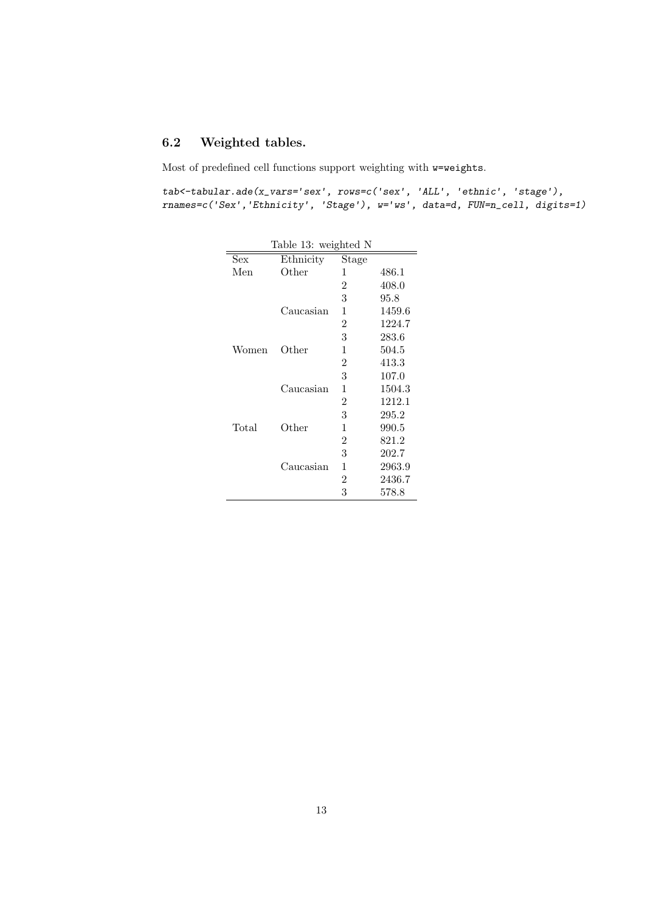# 6.2 Weighted tables.

Most of predefined cell functions support weighting with w=weights.

 ${\tt tab<-tabular}. \label{ex} \texttt{ade(x_vars='sex',\ rows=c('sex', 'ALL', 'ethnic', 'stage'),}$ rnames=c('Sex','Ethnicity', 'Stage'), w='ws', data=d, FUN=n\_cell, digits=1)

| Table 13: weighted N |           |                |        |  |  |  |  |
|----------------------|-----------|----------------|--------|--|--|--|--|
| Sex                  | Ethnicity | Stage          |        |  |  |  |  |
| Men                  | Other     | 1              | 486.1  |  |  |  |  |
|                      |           | 2              | 408.0  |  |  |  |  |
|                      |           | 3              | 95.8   |  |  |  |  |
|                      | Caucasian | 1              | 1459.6 |  |  |  |  |
|                      |           | $\overline{2}$ | 1224.7 |  |  |  |  |
|                      |           | 3              | 283.6  |  |  |  |  |
| Women                | Other     | 1              | 504.5  |  |  |  |  |
|                      |           | $\overline{2}$ | 413.3  |  |  |  |  |
|                      |           | 3              | 107.0  |  |  |  |  |
|                      | Caucasian | 1              | 1504.3 |  |  |  |  |
|                      |           | $\overline{2}$ | 1212.1 |  |  |  |  |
|                      |           | 3              | 295.2  |  |  |  |  |
| Total                | Other     | 1              | 990.5  |  |  |  |  |
|                      |           | 2              | 821.2  |  |  |  |  |
|                      |           | 3              | 202.7  |  |  |  |  |
|                      | Caucasian | 1              | 2963.9 |  |  |  |  |
|                      |           | 2              | 2436.7 |  |  |  |  |
|                      |           | 3              | 578.8  |  |  |  |  |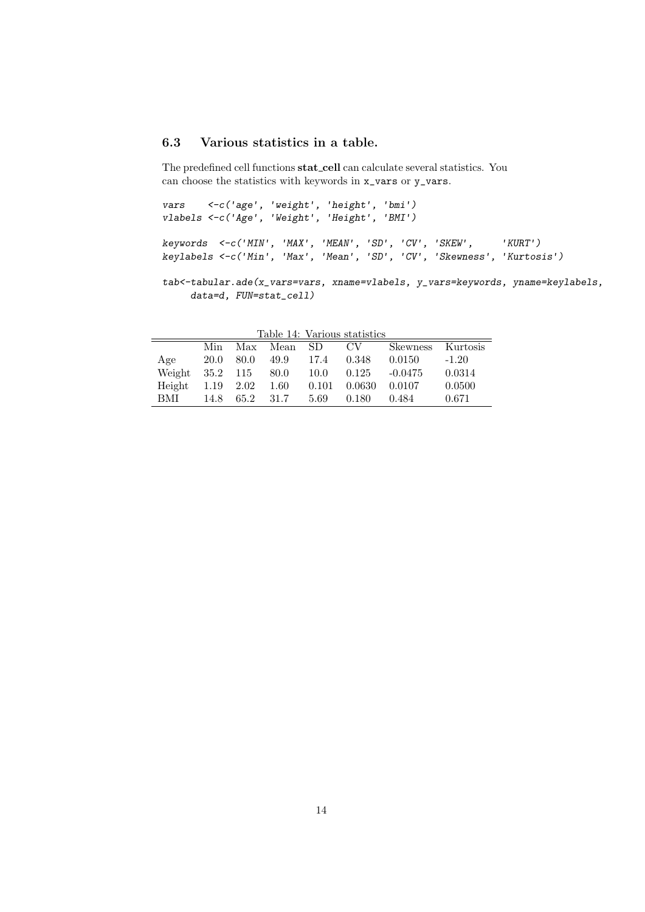## 6.3 Various statistics in a table.

The predefined cell functions stat cell can calculate several statistics. You can choose the statistics with keywords in x\_vars or y\_vars.

vars <-c('age', 'weight', 'height', 'bmi') vlabels <-c('Age', 'Weight', 'Height', 'BMI') keywords <-c('MIN', 'MAX', 'MEAN', 'SD', 'CV', 'SKEW', 'KURT') keylabels <-c('Min', 'Max', 'Mean', 'SD', 'CV', 'Skewness', 'Kurtosis')

tab<-tabular.ade(x\_vars=vars, xname=vlabels, y\_vars=keywords, yname=keylabels, data=d, FUN=stat\_cell)

|        |          |           |             |       | Table 14: Various statistics |           |          |
|--------|----------|-----------|-------------|-------|------------------------------|-----------|----------|
|        | Min      |           | Max Mean SD |       | CV –                         | Skewness  | Kurtosis |
| Age    | 20.0     | 80.0      | 49.9        | 17.4  | 0.348                        | 0.0150    | $-1.20$  |
| Weight | 35.2 115 |           | 80.0        | 10.0  | 0.125                        | $-0.0475$ | 0.0314   |
| Height |          | 1.19 2.02 | 1.60        | 0.101 | 0.0630                       | 0.0107    | 0.0500   |
| BMI    | 14.8     | 65.2      | 31.7        | 5.69  | 0.180                        | 0.484     | 0.671    |

Table 14: Various statistics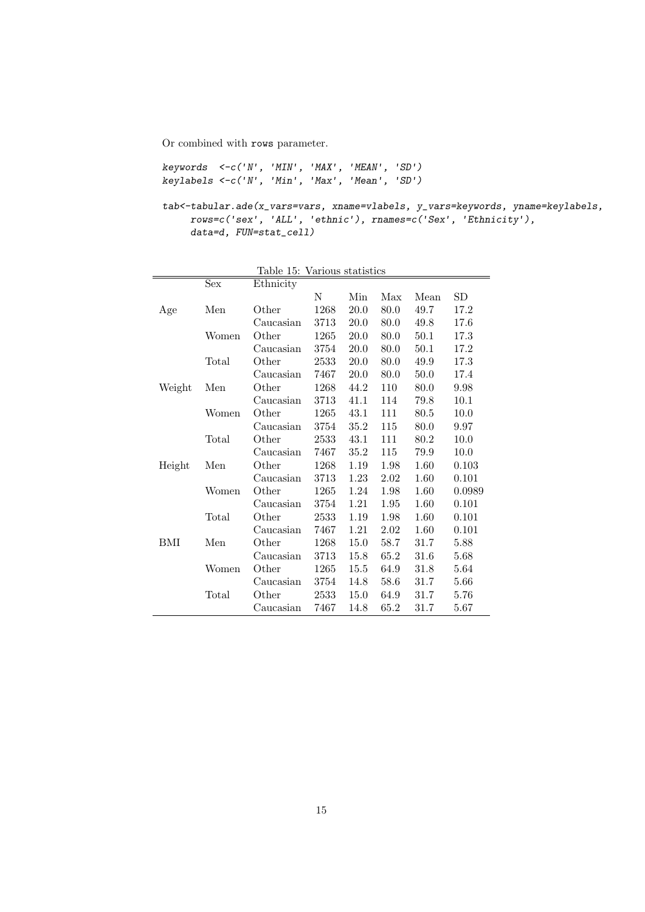Or combined with rows parameter.

```
keywords <-c('N', 'MIN', 'MAX', 'MEAN', 'SD')
keylabels <-c('N', 'Min', 'Max', 'Mean', 'SD')
```

```
tab<-tabular.ade(x_vars=vars, xname=vlabels, y_vars=keywords, yname=keylabels,
     rows=c('sex', 'ALL', 'ethnic'), rnames=c('Sex', 'Ethnicity'),
    data=d, FUN=stat_cell)
```

|        |       | rapie ro: | various statistics |      |      |      |           |
|--------|-------|-----------|--------------------|------|------|------|-----------|
|        | Sex   | Ethnicity |                    |      |      |      |           |
|        |       |           | N                  | Min  | Max  | Mean | <b>SD</b> |
| Age    | Men   | Other     | 1268               | 20.0 | 80.0 | 49.7 | 17.2      |
|        |       | Caucasian | 3713               | 20.0 | 80.0 | 49.8 | 17.6      |
|        | Women | Other     | 1265               | 20.0 | 80.0 | 50.1 | 17.3      |
|        |       | Caucasian | 3754               | 20.0 | 80.0 | 50.1 | 17.2      |
|        | Total | Other     | 2533               | 20.0 | 80.0 | 49.9 | 17.3      |
|        |       | Caucasian | 7467               | 20.0 | 80.0 | 50.0 | 17.4      |
| Weight | Men   | Other     | 1268               | 44.2 | 110  | 80.0 | 9.98      |
|        |       | Caucasian | 3713               | 41.1 | 114  | 79.8 | 10.1      |
|        | Women | Other     | 1265               | 43.1 | 111  | 80.5 | 10.0      |
|        |       | Caucasian | 3754               | 35.2 | 115  | 80.0 | 9.97      |
|        | Total | Other     | 2533               | 43.1 | 111  | 80.2 | 10.0      |
|        |       | Caucasian | 7467               | 35.2 | 115  | 79.9 | 10.0      |
| Height | Men   | Other     | 1268               | 1.19 | 1.98 | 1.60 | 0.103     |
|        |       | Caucasian | 3713               | 1.23 | 2.02 | 1.60 | 0.101     |
|        | Women | Other     | 1265               | 1.24 | 1.98 | 1.60 | 0.0989    |
|        |       | Caucasian | 3754               | 1.21 | 1.95 | 1.60 | 0.101     |
|        | Total | Other     | 2533               | 1.19 | 1.98 | 1.60 | 0.101     |
|        |       | Caucasian | 7467               | 1.21 | 2.02 | 1.60 | 0.101     |
| BМI    | Men   | Other     | 1268               | 15.0 | 58.7 | 31.7 | 5.88      |
|        |       | Caucasian | 3713               | 15.8 | 65.2 | 31.6 | 5.68      |
|        | Women | Other     | 1265               | 15.5 | 64.9 | 31.8 | 5.64      |
|        |       | Caucasian | 3754               | 14.8 | 58.6 | 31.7 | 5.66      |
|        | Total | Other     | 2533               | 15.0 | 64.9 | 31.7 | 5.76      |
|        |       | Caucasian | 7467               | 14.8 | 65.2 | 31.7 | 5.67      |

Table 15: Various statistics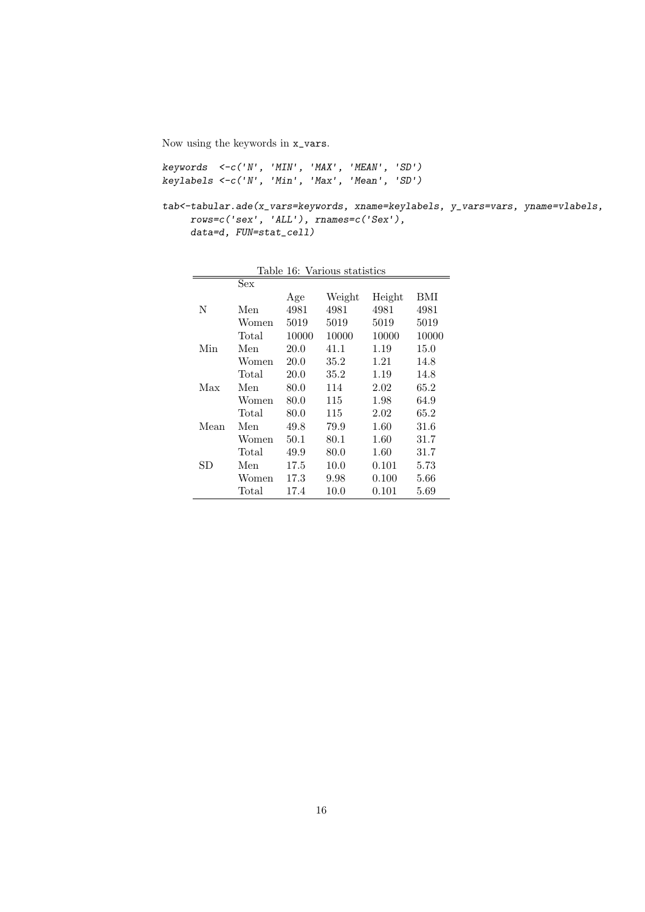Now using the keywords in x\_vars.

keywords <-c('N', 'MIN', 'MAX', 'MEAN', 'SD') keylabels <-c('N', 'Min', 'Max', 'Mean', 'SD')

tab<-tabular.ade(x\_vars=keywords, xname=keylabels, y\_vars=vars, yname=vlabels, rows=c('sex', 'ALL'), rnames=c('Sex'), data=d, FUN=stat\_cell)

| Table 16: Various statistics |       |       |        |        |       |  |  |
|------------------------------|-------|-------|--------|--------|-------|--|--|
|                              | Sex   |       |        |        |       |  |  |
|                              |       | Age   | Weight | Height | BMI   |  |  |
| N                            | Men   | 4981  | 4981   | 4981   | 4981  |  |  |
|                              | Women | 5019  | 5019   | 5019   | 5019  |  |  |
|                              | Total | 10000 | 10000  | 10000  | 10000 |  |  |
| Min                          | Men   | 20.0  | 41.1   | 1.19   | 15.0  |  |  |
|                              | Women | 20.0  | 35.2   | 1.21   | 14.8  |  |  |
|                              | Total | 20.0  | 35.2   | 1.19   | 14.8  |  |  |
| Max                          | Men   | 80.0  | 114    | 2.02   | 65.2  |  |  |
|                              | Women | 80.0  | 115    | 1.98   | 64.9  |  |  |
|                              | Total | 80.0  | 115    | 2.02   | 65.2  |  |  |
| Mean                         | Men   | 49.8  | 79.9   | 1.60   | 31.6  |  |  |
|                              | Women | 50.1  | 80.1   | 1.60   | 31.7  |  |  |
|                              | Total | 49.9  | 80.0   | 1.60   | 31.7  |  |  |
| SD                           | Men   | 17.5  | 10.0   | 0.101  | 5.73  |  |  |
|                              | Women | 17.3  | 9.98   | 0.100  | 5.66  |  |  |
|                              | Total | 17.4  | 10.0   | 0.101  | 5.69  |  |  |